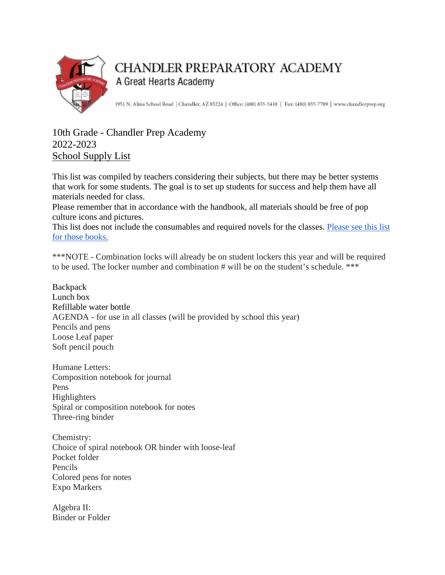

## **CHANDLER PREPARATORY ACADEMY** A Great Hearts Academy

1951 N. Alma School Road | Chandler, AZ 85224 | Office: (480) 855-5410 | Fax: (480) 855-7789 | www.chandlerprep.org

## 10th Grade - Chandler Prep Academy 2022-2023 School Supply List

This list was compiled by teachers considering their subjects, but there may be better systems that work for some students. The goal is to set up students for success and help them have all materials needed for class.

Please remember that in accordance with the handbook, all materials should be free of pop culture icons and pictures.

This list does not include the consumables and required novels for the classes. [Please see this list](https://chandlerprep.greatheartsamerica.org/academics/booksupply-lists/)  [for those books.](https://chandlerprep.greatheartsamerica.org/academics/booksupply-lists/)

\*\*\*NOTE - Combination locks will already be on student lockers this year and will be required to be used. The locker number and combination # will be on the student's schedule. \*\*\*

**Backpack** Lunch box Refillable water bottle AGENDA - for use in all classes (will be provided by school this year) Pencils and pens Loose Leaf paper Soft pencil pouch

Humane Letters: Composition notebook for journal Pens Highlighters Spiral or composition notebook for notes Three-ring binder

Chemistry: Choice of spiral notebook OR binder with loose-leaf Pocket folder Pencils Colored pens for notes Expo Markers

Algebra II: Binder or Folder